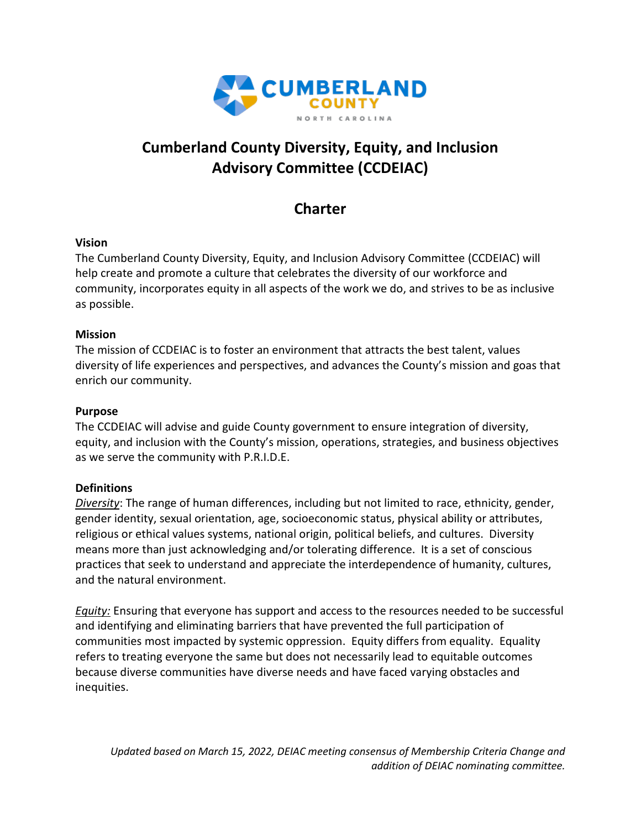

# **Cumberland County Diversity, Equity, and Inclusion Advisory Committee (CCDEIAC)**

# **Charter**

#### **Vision**

The Cumberland County Diversity, Equity, and Inclusion Advisory Committee (CCDEIAC) will help create and promote a culture that celebrates the diversity of our workforce and community, incorporates equity in all aspects of the work we do, and strives to be as inclusive as possible.

### **Mission**

The mission of CCDEIAC is to foster an environment that attracts the best talent, values diversity of life experiences and perspectives, and advances the County's mission and goas that enrich our community.

### **Purpose**

The CCDEIAC will advise and guide County government to ensure integration of diversity, equity, and inclusion with the County's mission, operations, strategies, and business objectives as we serve the community with P.R.I.D.E.

## **Definitions**

*Diversity*: The range of human differences, including but not limited to race, ethnicity, gender, gender identity, sexual orientation, age, socioeconomic status, physical ability or attributes, religious or ethical values systems, national origin, political beliefs, and cultures. Diversity means more than just acknowledging and/or tolerating difference. It is a set of conscious practices that seek to understand and appreciate the interdependence of humanity, cultures, and the natural environment.

*Equity:* Ensuring that everyone has support and access to the resources needed to be successful and identifying and eliminating barriers that have prevented the full participation of communities most impacted by systemic oppression. Equity differs from equality. Equality refers to treating everyone the same but does not necessarily lead to equitable outcomes because diverse communities have diverse needs and have faced varying obstacles and inequities.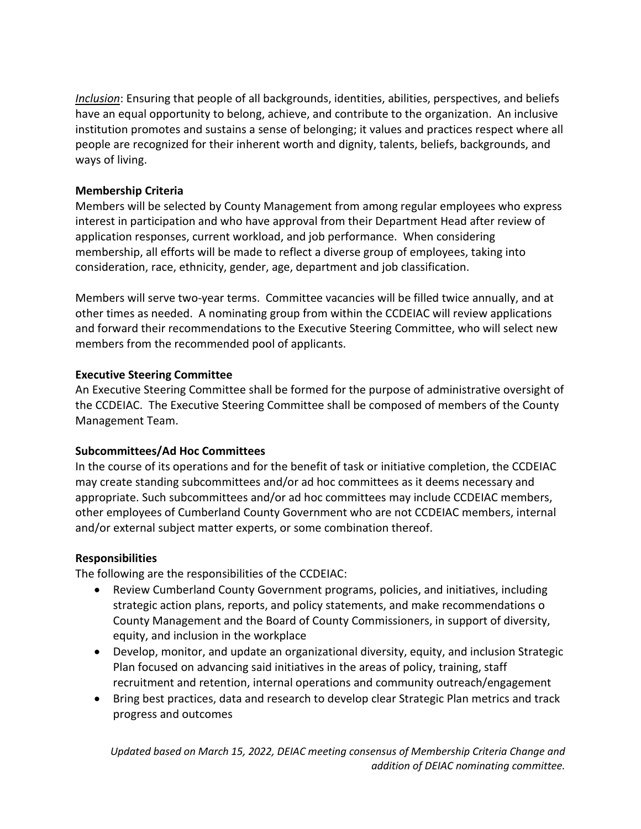*Inclusion*: Ensuring that people of all backgrounds, identities, abilities, perspectives, and beliefs have an equal opportunity to belong, achieve, and contribute to the organization. An inclusive institution promotes and sustains a sense of belonging; it values and practices respect where all people are recognized for their inherent worth and dignity, talents, beliefs, backgrounds, and ways of living.

#### **Membership Criteria**

Members will be selected by County Management from among regular employees who express interest in participation and who have approval from their Department Head after review of application responses, current workload, and job performance. When considering membership, all efforts will be made to reflect a diverse group of employees, taking into consideration, race, ethnicity, gender, age, department and job classification.

Members will serve two-year terms. Committee vacancies will be filled twice annually, and at other times as needed. A nominating group from within the CCDEIAC will review applications and forward their recommendations to the Executive Steering Committee, who will select new members from the recommended pool of applicants.

#### **Executive Steering Committee**

An Executive Steering Committee shall be formed for the purpose of administrative oversight of the CCDEIAC. The Executive Steering Committee shall be composed of members of the County Management Team.

#### **Subcommittees/Ad Hoc Committees**

In the course of its operations and for the benefit of task or initiative completion, the CCDEIAC may create standing subcommittees and/or ad hoc committees as it deems necessary and appropriate. Such subcommittees and/or ad hoc committees may include CCDEIAC members, other employees of Cumberland County Government who are not CCDEIAC members, internal and/or external subject matter experts, or some combination thereof.

#### **Responsibilities**

The following are the responsibilities of the CCDEIAC:

- Review Cumberland County Government programs, policies, and initiatives, including strategic action plans, reports, and policy statements, and make recommendations o County Management and the Board of County Commissioners, in support of diversity, equity, and inclusion in the workplace
- Develop, monitor, and update an organizational diversity, equity, and inclusion Strategic Plan focused on advancing said initiatives in the areas of policy, training, staff recruitment and retention, internal operations and community outreach/engagement
- Bring best practices, data and research to develop clear Strategic Plan metrics and track progress and outcomes

*Updated based on March 15, 2022, DEIAC meeting consensus of Membership Criteria Change and addition of DEIAC nominating committee.*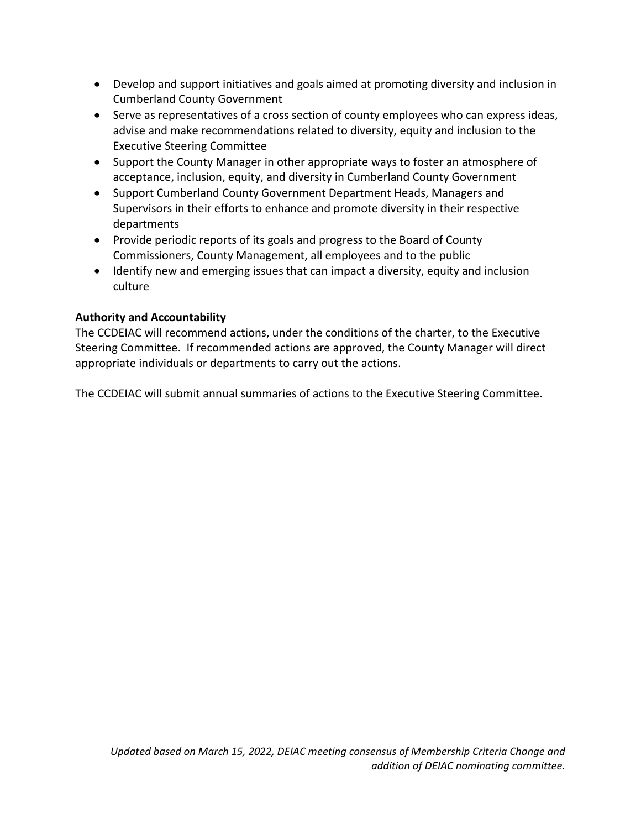- Develop and support initiatives and goals aimed at promoting diversity and inclusion in Cumberland County Government
- Serve as representatives of a cross section of county employees who can express ideas, advise and make recommendations related to diversity, equity and inclusion to the Executive Steering Committee
- Support the County Manager in other appropriate ways to foster an atmosphere of acceptance, inclusion, equity, and diversity in Cumberland County Government
- Support Cumberland County Government Department Heads, Managers and Supervisors in their efforts to enhance and promote diversity in their respective departments
- Provide periodic reports of its goals and progress to the Board of County Commissioners, County Management, all employees and to the public
- Identify new and emerging issues that can impact a diversity, equity and inclusion culture

## **Authority and Accountability**

The CCDEIAC will recommend actions, under the conditions of the charter, to the Executive Steering Committee. If recommended actions are approved, the County Manager will direct appropriate individuals or departments to carry out the actions.

The CCDEIAC will submit annual summaries of actions to the Executive Steering Committee.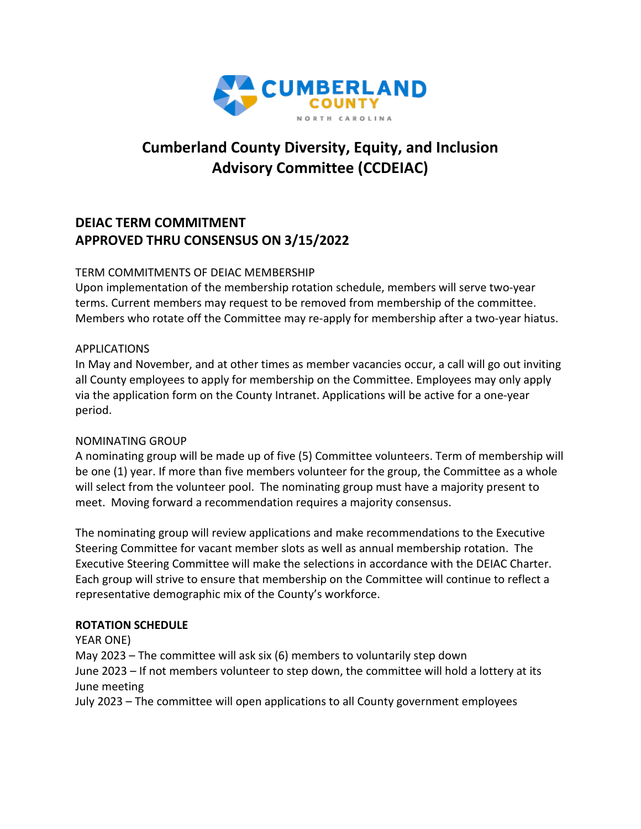

# **Cumberland County Diversity, Equity, and Inclusion Advisory Committee (CCDEIAC)**

# **DEIAC TERM COMMITMENT APPROVED THRU CONSENSUS ON 3/15/2022**

#### TERM COMMITMENTS OF DEIAC MEMBERSHIP

Upon implementation of the membership rotation schedule, members will serve two-year terms. Current members may request to be removed from membership of the committee. Members who rotate off the Committee may re-apply for membership after a two-year hiatus.

#### APPLICATIONS

In May and November, and at other times as member vacancies occur, a call will go out inviting all County employees to apply for membership on the Committee. Employees may only apply via the application form on the County Intranet. Applications will be active for a one-year period.

#### NOMINATING GROUP

A nominating group will be made up of five (5) Committee volunteers. Term of membership will be one (1) year. If more than five members volunteer for the group, the Committee as a whole will select from the volunteer pool. The nominating group must have a majority present to meet. Moving forward a recommendation requires a majority consensus.

The nominating group will review applications and make recommendations to the Executive Steering Committee for vacant member slots as well as annual membership rotation. The Executive Steering Committee will make the selections in accordance with the DEIAC Charter. Each group will strive to ensure that membership on the Committee will continue to reflect a representative demographic mix of the County's workforce.

#### **ROTATION SCHEDULE**

YEAR ONE)

May 2023 – The committee will ask six (6) members to voluntarily step down June 2023 – If not members volunteer to step down, the committee will hold a lottery at its June meeting

July 2023 – The committee will open applications to all County government employees